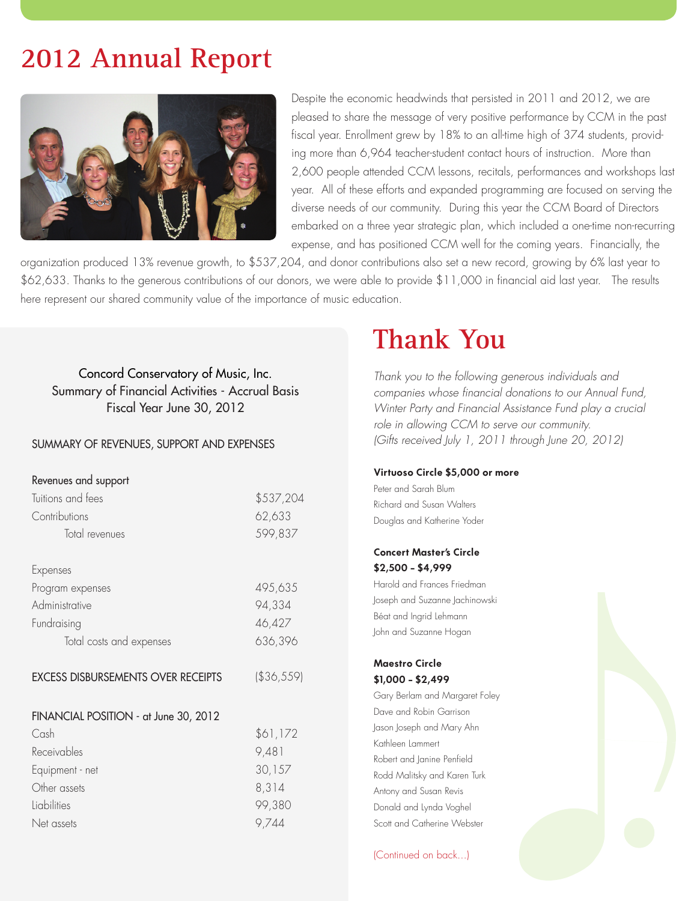# **2012 Annual Report**



Despite the economic headwinds that persisted in 2011 and 2012, we are pleased to share the message of very positive performance by CCM in the past fiscal year. Enrollment grew by 18% to an all-time high of 374 students, providing more than 6,964 teacher-student contact hours of instruction. More than 2,600 people attended CCM lessons, recitals, performances and workshops last year. All of these efforts and expanded programming are focused on serving the diverse needs of our community. During this year the CCM Board of Directors embarked on a three year strategic plan, which included a one-time non-recurring expense, and has positioned CCM well for the coming years. Financially, the

organization produced 13% revenue growth, to \$537,204, and donor contributions also set a new record, growing by 6% last year to \$62,633. Thanks to the generous contributions of our donors, we were able to provide \$11,000 in financial aid last year. The results here represent our shared community value of the importance of music education.

Concord Conservatory of Music, Inc. Summary of Financial Activities - Accrual Basis Fiscal Year June 30, 2012

#### SUMMARY OF REVENUES, SUPPORT AND EXPENSES

| Revenues and support                      |            |
|-------------------------------------------|------------|
| Tuitions and fees                         | \$537,204  |
| Contributions                             | 62,633     |
| Total revenues                            | 599,837    |
| Expenses                                  |            |
| Program expenses                          | 495,635    |
| Administrative                            | 94,334     |
|                                           |            |
| Fundraising                               | 46,427     |
| Total costs and expenses                  | 636,396    |
| <b>EXCESS DISBURSEMENTS OVER RECEIPTS</b> | (\$36,559) |
|                                           |            |
| FINANCIAL POSITION - at June 30, 2012     |            |
| Cash                                      | \$61,172   |
| Receivables                               | 9,481      |
| Equipment - net                           | 30,157     |
| Other assets                              | 8,314      |
| Liabilities                               | 99,380     |
| Net assets                                | 9,744      |

## **Thank You**

*Thank you to the following generous individuals and companies whose financial donations to our Annual Fund, Winter Party and Financial Assistance Fund play a crucial role in allowing CCM to serve our community. (Gifts received July 1, 2011 through June 20, 2012)*

#### **Virtuoso Circle \$5,000 or more**

Peter and Sarah Blum Richard and Susan Walters Douglas and Katherine Yoder

#### **Concert Master's Circle \$2,500 - \$4,999**

Harold and Frances Friedman Joseph and Suzanne Jachinowski Béat and Ingrid Lehmann John and Suzanne Hogan

#### **Maestro Circle \$1,000 - \$2,499**

Gary Berlam and Margaret Foley Dave and Robin Garrison Jason Joseph and Mary Ahn Kathleen Lammert Robert and Janine Penfield Rodd Malitsky and Karen Turk Antony and Susan Revis Donald and Lynda Voghel Scott and Catherine Webster

(Continued on back...)